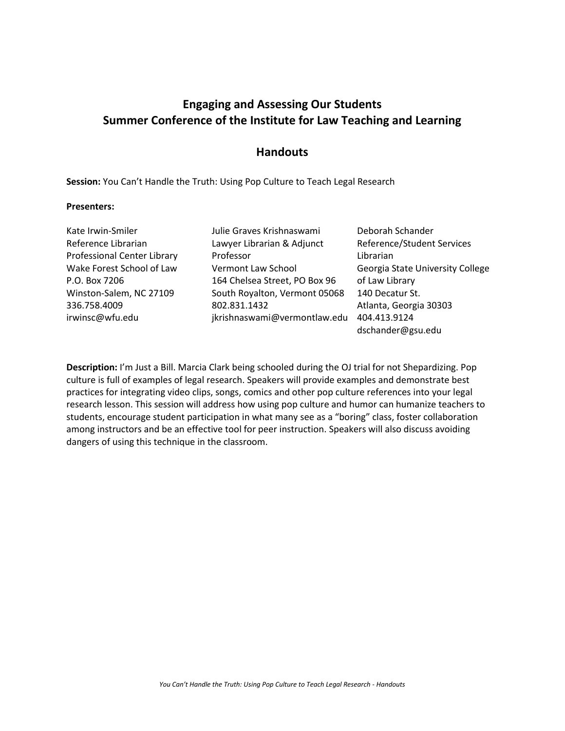# **Engaging and Assessing Our Students Summer Conference of the Institute for Law Teaching and Learning**

### **Handouts**

**Session:** You Can't Handle the Truth: Using Pop Culture to Teach Legal Research

#### **Presenters:**

| Kate Irwin-Smiler           | Julie Graves Krishnaswami     | Deborah Schander                 |
|-----------------------------|-------------------------------|----------------------------------|
| Reference Librarian         | Lawyer Librarian & Adjunct    | Reference/Student Services       |
| Professional Center Library | Professor                     | Librarian                        |
| Wake Forest School of Law   | Vermont Law School            | Georgia State University College |
| P.O. Box 7206               | 164 Chelsea Street, PO Box 96 | of Law Library                   |
| Winston-Salem, NC 27109     | South Royalton, Vermont 05068 | 140 Decatur St.                  |
| 336.758.4009                | 802.831.1432                  | Atlanta, Georgia 30303           |
| irwinsc@wfu.edu             | jkrishnaswami@vermontlaw.edu  | 404.413.9124                     |
|                             |                               | dschander@gsu.edu                |

**Description:** I'm Just a Bill. Marcia Clark being schooled during the OJ trial for not Shepardizing. Pop culture is full of examples of legal research. Speakers will provide examples and demonstrate best practices for integrating video clips, songs, comics and other pop culture references into your legal research lesson. This session will address how using pop culture and humor can humanize teachers to students, encourage student participation in what many see as a "boring" class, foster collaboration among instructors and be an effective tool for peer instruction. Speakers will also discuss avoiding dangers of using this technique in the classroom.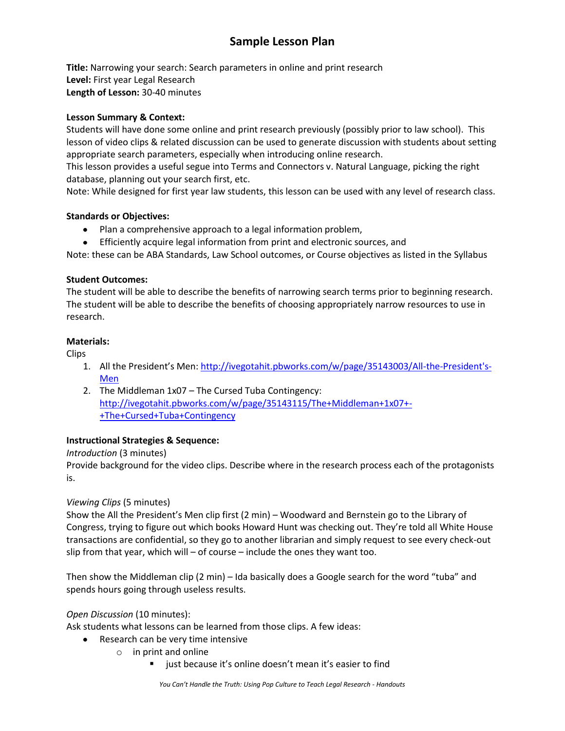# **Sample Lesson Plan**

**Title:** Narrowing your search: Search parameters in online and print research **Level:** First year Legal Research **Length of Lesson:** 30-40 minutes

### **Lesson Summary & Context:**

Students will have done some online and print research previously (possibly prior to law school). This lesson of video clips & related discussion can be used to generate discussion with students about setting appropriate search parameters, especially when introducing online research.

This lesson provides a useful segue into Terms and Connectors v. Natural Language, picking the right database, planning out your search first, etc.

Note: While designed for first year law students, this lesson can be used with any level of research class.

### **Standards or Objectives:**

- Plan a comprehensive approach to a legal information problem,
- Efficiently acquire legal information from print and electronic sources, and

Note: these can be ABA Standards, Law School outcomes, or Course objectives as listed in the Syllabus

### **Student Outcomes:**

The student will be able to describe the benefits of narrowing search terms prior to beginning research. The student will be able to describe the benefits of choosing appropriately narrow resources to use in research.

### **Materials:**

Clips

- 1. All the President's Men: [http://ivegotahit.pbworks.com/w/page/35143003/All-the-President's-](http://ivegotahit.pbworks.com/w/page/35143003/All-the-President)[Men](http://ivegotahit.pbworks.com/w/page/35143003/All-the-President)
- 2. The Middleman 1x07 The Cursed Tuba Contingency: [http://ivegotahit.pbworks.com/w/page/35143115/The+Middleman+1x07+-](http://ivegotahit.pbworks.com/w/page/35143115/The+Middleman+1x07+-+The+Cursed+Tuba+Contingency) [+The+Cursed+Tuba+Contingency](http://ivegotahit.pbworks.com/w/page/35143115/The+Middleman+1x07+-+The+Cursed+Tuba+Contingency)

### **Instructional Strategies & Sequence:**

*Introduction* (3 minutes)

Provide background for the video clips. Describe where in the research process each of the protagonists is.

### *Viewing Clips* (5 minutes)

Show the All the President's Men clip first (2 min) – Woodward and Bernstein go to the Library of Congress, trying to figure out which books Howard Hunt was checking out. They're told all White House transactions are confidential, so they go to another librarian and simply request to see every check-out slip from that year, which will – of course – include the ones they want too.

Then show the Middleman clip (2 min) – Ida basically does a Google search for the word "tuba" and spends hours going through useless results.

### *Open Discussion* (10 minutes):

Ask students what lessons can be learned from those clips. A few ideas:

- Research can be very time intensive
	- o in print and online
		- just because it's online doesn't mean it's easier to find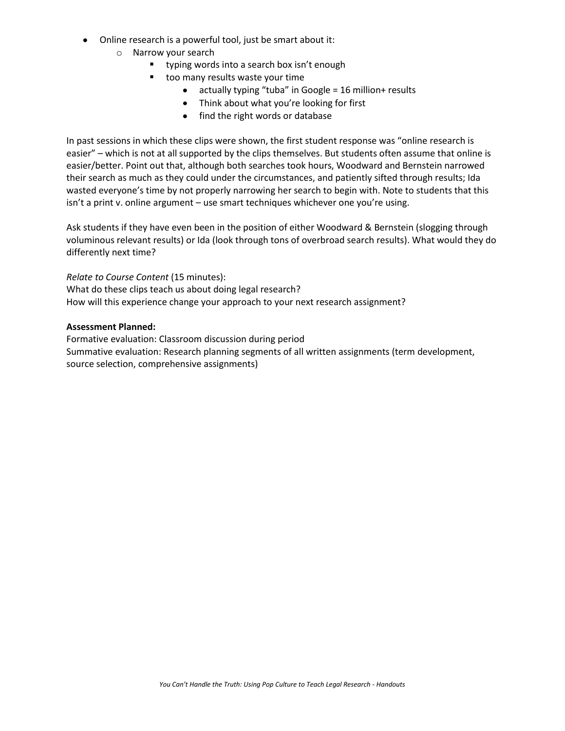- Online research is a powerful tool, just be smart about it:
	- o Narrow your search
		- **typing words into a search box isn't enough**
		- too many results waste your time
			- actually typing "tuba" in Google = 16 million+ results
			- Think about what you're looking for first
			- find the right words or database

In past sessions in which these clips were shown, the first student response was "online research is easier" – which is not at all supported by the clips themselves. But students often assume that online is easier/better. Point out that, although both searches took hours, Woodward and Bernstein narrowed their search as much as they could under the circumstances, and patiently sifted through results; Ida wasted everyone's time by not properly narrowing her search to begin with. Note to students that this isn't a print v. online argument – use smart techniques whichever one you're using.

Ask students if they have even been in the position of either Woodward & Bernstein (slogging through voluminous relevant results) or Ida (look through tons of overbroad search results). What would they do differently next time?

*Relate to Course Content* (15 minutes):

What do these clips teach us about doing legal research?

How will this experience change your approach to your next research assignment?

#### **Assessment Planned:**

Formative evaluation: Classroom discussion during period Summative evaluation: Research planning segments of all written assignments (term development, source selection, comprehensive assignments)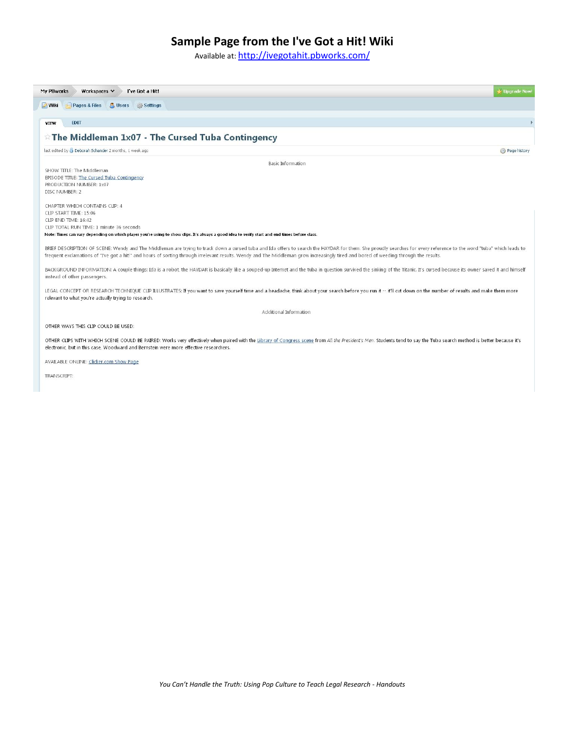## **Sample Page from the I've Got a Hit! Wiki**

Available at: <http://ivegotahit.pbworks.com/>



TRANSCRIPT: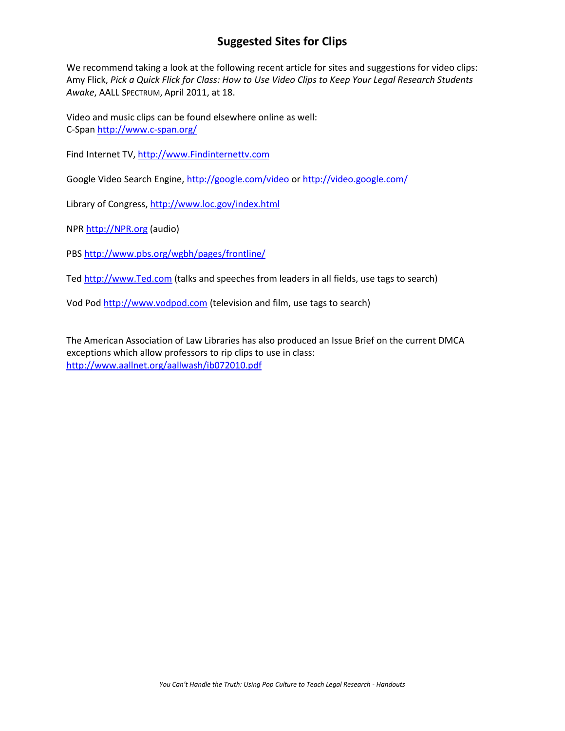# **Suggested Sites for Clips**

We recommend taking a look at the following recent article for sites and suggestions for video clips: Amy Flick, *Pick a Quick Flick for Class: How to Use Video Clips to Keep Your Legal Research Students Awake*, AALL SPECTRUM, April 2011, at 18.

Video and music clips can be found elsewhere online as well: C-Spa[n http://www.c-span.org/](http://www.c-span.org/)

Find Internet TV[, http://www.Findinternettv.com](http://www.findinternettv.com/)

Google Video Search Engine,<http://google.com/video> or<http://video.google.com/>

Library of Congress[, http://www.loc.gov/index.html](http://www.loc.gov/index.html)

NPR [http://NPR.org](http://npr.org/) (audio)

PBS<http://www.pbs.org/wgbh/pages/frontline/>

Ted [http://www.Ted.com](http://www.ted.com/) (talks and speeches from leaders in all fields, use tags to search)

Vod Pod [http://www.vodpod.com](http://www.vodpod.com/) (television and film, use tags to search)

The American Association of Law Libraries has also produced an Issue Brief on the current DMCA exceptions which allow professors to rip clips to use in class: <http://www.aallnet.org/aallwash/ib072010.pdf>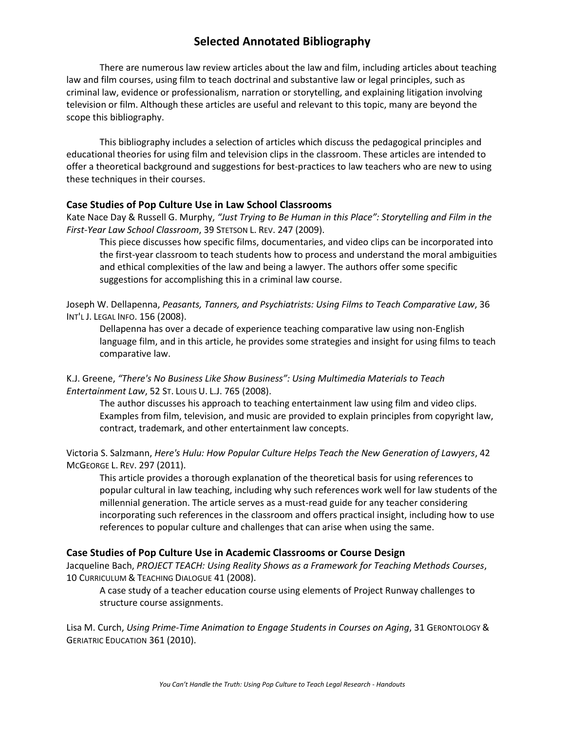## **Selected Annotated Bibliography**

There are numerous law review articles about the law and film, including articles about teaching law and film courses, using film to teach doctrinal and substantive law or legal principles, such as criminal law, evidence or professionalism, narration or storytelling, and explaining litigation involving television or film. Although these articles are useful and relevant to this topic, many are beyond the scope this bibliography.

This bibliography includes a selection of articles which discuss the pedagogical principles and educational theories for using film and television clips in the classroom. These articles are intended to offer a theoretical background and suggestions for best-practices to law teachers who are new to using these techniques in their courses.

### **Case Studies of Pop Culture Use in Law School Classrooms**

Kate Nace Day & Russell G. Murphy, *"Just Trying to Be Human in this Place": Storytelling and Film in the First-Year Law School Classroom*, 39 STETSON L. REV. 247 (2009).

This piece discusses how specific films, documentaries, and video clips can be incorporated into the first-year classroom to teach students how to process and understand the moral ambiguities and ethical complexities of the law and being a lawyer. The authors offer some specific suggestions for accomplishing this in a criminal law course.

Joseph W. Dellapenna, *Peasants, Tanners, and Psychiatrists: Using Films to Teach Comparative Law*, 36 INT'L J. LEGAL INFO. 156 (2008).

Dellapenna has over a decade of experience teaching comparative law using non-English language film, and in this article, he provides some strategies and insight for using films to teach comparative law.

K.J. Greene, *"There's No Business Like Show Business": Using Multimedia Materials to Teach Entertainment Law*, 52 ST. LOUIS U. L.J. 765 (2008).

The author discusses his approach to teaching entertainment law using film and video clips. Examples from film, television, and music are provided to explain principles from copyright law, contract, trademark, and other entertainment law concepts.

Victoria S. Salzmann, *Here's Hulu: How Popular Culture Helps Teach the New Generation of Lawyers*, 42 MCGEORGE L. REV. 297 (2011).

This article provides a thorough explanation of the theoretical basis for using references to popular cultural in law teaching, including why such references work well for law students of the millennial generation. The article serves as a must-read guide for any teacher considering incorporating such references in the classroom and offers practical insight, including how to use references to popular culture and challenges that can arise when using the same.

### **Case Studies of Pop Culture Use in Academic Classrooms or Course Design**

Jacqueline Bach, *PROJECT TEACH: Using Reality Shows as a Framework for Teaching Methods Courses*, 10 CURRICULUM & TEACHING DIALOGUE 41 (2008).

A case study of a teacher education course using elements of Project Runway challenges to structure course assignments.

Lisa M. Curch, *Using Prime-Time Animation to Engage Students in Courses on Aging*, 31 GERONTOLOGY & GERIATRIC EDUCATION 361 (2010).